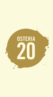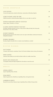#### HOUSE COCKTAILS

| LOVE POTION<br>A sweet & tropical gin cocktail, with lychee, watermelon, & Bombay Saphire                                                         | 18 |
|---------------------------------------------------------------------------------------------------------------------------------------------------|----|
| COME ON BABY LIGHT MY FIRE<br>Chilli & strawberry infused Bombay Saphire Gin in a new take on a gin fizz                                          | 20 |
| PATRON MARGARITA SERVED YOUR WAY<br>Classic, Spicy, Tommie's, or Frozen                                                                           | 22 |
| CLASSIC MARTINI SERVED YOUR WAY<br>Gin Mare, Bombay Premier Cru Gin, or Grey Goose Vodka, & Noily Prat Vermouth.                                  | 22 |
| Served dry or wet, clean or dirty<br><b>SUNSET NEGRONI</b><br>Bombay Sunset Gin gives this classic some new spice with Indian cardomom & tumeric, | 22 |
| & Spanish mandarin<br><b>BOMBAY BRAMBLE</b>                                                                                                       | 22 |
| Bombay Saphire Bramble Gin in a classic sweet blackberry cocktail                                                                                 |    |

## WINTER WARMER

| <b>HOT TODDIE</b><br>A classic cold remedy, containing Dewar's 12 Scotch whiskey, lemon, honey, & cinnamon | 20 |
|------------------------------------------------------------------------------------------------------------|----|
| IRISH COFFEE<br>Jameson Irish whisky served with hot black coffee & a vanilla cream float                  | 20 |
| <b>BOOZY HOT CHOCOLATE</b><br>A Frangelico & Bacardi Spiced spiked hot chocolate to warm the soul          | 20 |

#### SPRITZ

| APEROL SPRITZ                                                           | 15 |
|-------------------------------------------------------------------------|----|
| Aperol, Sparkling Wine, & Soda                                          |    |
| PINK SPRITZ                                                             | 18 |
| Malfy Grapefruit Gin, Elderflower, Sparlkling Wine, & Grapefruit Soda   |    |
| CARRIBEAN SPRITZ                                                        | 15 |
| Bacardi Coconut Rum, Banana Liquor, Sparkling Wine, & Blood Orange Soda |    |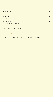MOCKTAILS

| WATERMELON SUGAR<br>Watermelon & Lime Spritz              | 10 |
|-----------------------------------------------------------|----|
| <b>MANGO MULE</b><br>Mango, Lime, & Ginger Beer           | 10 |
| <b>BERRY BLAST</b><br>Strawberry, Cranberry, Lime, & Soda | 10 |
| TROPICANO<br>Orange, Passionfruit, Lime, & Grenadine      | 10 |

#### CLASSICS

ASK YOUR WAITER ABOUT YOUR FAVOURITE CLASSIC COCKTAIL.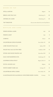| BEERS ON TAP               |                                               |
|----------------------------|-----------------------------------------------|
| <b>STELLA ARTOIS</b>       | 14<br>Belgium                                 |
| <b>BRICK LANE PALE ALE</b> | 10<br>Dandenong, Vic                          |
| OSTERIA 20 LAGER           | 10<br>Dandenong, Vic                          |
| <b>TAP TAKEOVER</b>        | Ask you waiter about the current Tap Takeover |

## BOTTLES AND CANS

| PERONI ROSSA LAGER                                | Italy             | 10               |
|---------------------------------------------------|-------------------|------------------|
| PERONI LIGHT                                      | Italy             | $\boldsymbol{9}$ |
| CORONA                                            | Mexico            | 10               |
| <b>COLDSTREAM CZECH PILSNER</b>                   | Yarra Valley, VIC | 10               |
| LORD NELSON PALE ALE                              | Sydney, NSW       | 11               |
| WILDE PALE ALE GLUTEN FREE                        | Goulburn, NSW     | 11               |
| STONE AND WOOD PACIFIC ALE                        | Byron Bay, NSW    | 11               |
| <b>KAIJU METAMORPHIUS IPA</b>                     | Dandenong, VIC    | 14               |
| <b>COOPERS EXTRA STOUT</b>                        | Regency Park, SA  | 12               |
| <b>DUVEL GOLDEN ALE</b>                           | Belgium           | 16               |
| WHITE RABBIT DARK ALE                             | Geelong, VIC      | 11               |
| <b>COLDSTREAM APPLE CIDER</b>                     | Yarra Valley, VIC | 10               |
| CLAUSTHALER NON ALCOHOLIC UNFILTERED BEER (0,04%) | Germany           | 7.5              |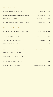## SPARKLING WINE

| RUGGERI PROSECCO 'ARGEO' DOC NV      | Veneto, Italy 13 / 62 |     |
|--------------------------------------|-----------------------|-----|
| ROCHFORD ESTATE BLANC DE BLANCS 2019 | Yarra Valley, VIC     | 79  |
| BARRINGWOOD CUVEE NV                 | Northern Tasmania     | 90  |
| POL ROGER RESERVE BRUT CHAMPAGNE NV  | Champagne, France     | 170 |

## ROSÉ & MOSCATO

| LLOYD BROTHERS PINOT NOIR ROSÉ 2021                       | Adelaide Hills, SA 13 / 60 |    |
|-----------------------------------------------------------|----------------------------|----|
| <b>FAMILLE PERRIN RESERVE</b><br>COTES DU RHONE ROSÉ 2021 | Cotes du Rhone, France     | 66 |
| <b>JIM BARRY ANNABELLES ROSÉ</b>                          | Clare Valley, SA           | 70 |
| TOORAK WINES MOSCATO 2019                                 | Riverina, NSW $10/45$      |    |

## SAUVIGNON BLANC, PINOT GRIGIO & GRIS

| <b>BABICH SAUVIGNON BLANC 2020</b>                  | Marlborough, NZ 13 / 55              |    |
|-----------------------------------------------------|--------------------------------------|----|
| TENUTA MACCAN FRIULI GRAVE DOC<br>PINOT GRIGIO 2020 | Friuli-Venezia Giulia, Italy 13 / 69 |    |
| STARBOROUGH PINOT GRIS 2021                         | Marlborough, NZ                      | 60 |
| <b>OUARTIER PINOT GRIS 2020</b>                     | Mornington Peninsula, VIC            | 69 |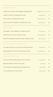# CHARDONNAY

|     | Margeret River, WA 15 / 70 | FOREST HILL ESTATE 'MT BARKER' CHARDONNAY |
|-----|----------------------------|-------------------------------------------|
| 75  | Pemberton, WA              | CASTELLI ESTATE CHARDONNAY 2020           |
| 99  | Margeret River, WA         | STELLA BELLA CHARDONNAY 2020              |
| 121 | Yarra Valley, VIC          | SEVILLE ESTATE 'RESERVE' CHARDONNAY 2019  |

#### RIESLING

| JIM BARRY "THE ATHHERLEY" RIESLING 2021     | Clare Valley, SA | 55 |
|---------------------------------------------|------------------|----|
| FOREST HILL 'BLOCK 2' RIESLING 2018         | Mount Barker, WA | 85 |
| PROPSTEI EBERNACH RIESLING QBA TROCKEN 2019 | Mosel, Germany   | 77 |

# OTHER WHITE VARIETALS

| YALUMBA SAMUEL'S COLLECTION VIOGNIER 2020 | Eden Valley, SA      |    |
|-------------------------------------------|----------------------|----|
| MARC BREDIF VOUVRAY CHENIN BLANC 2020     | Loire Valley, France | 88 |

# ITALIAN WHITES

| SAN SALVATORE PORCONERO FIANO IGP 2019 | Campania, Italy | 69  |
|----------------------------------------|-----------------|-----|
| BERTANI SEREOLE SOAVE DOC 2020         | Veneto, Italy   | 78  |
| COLLEFRISIO VIGNAQUADRO PECORINO 2021  | Abruzzo, Italy  | 89  |
| VILLA SPARINA GAVI DOCG 2016           | Piedmont, Italy | 109 |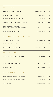#### PINOT NOIR

| <b>SAN PIETRO PINOT NOIR 2019</b>                          | Mornington Peninsula, VIC 13 / 52 |     |
|------------------------------------------------------------|-----------------------------------|-----|
| SANZIANA PINOT NOIR 2019                                   | Recas, Romania                    | 62  |
| RIPOSTE 'SABRE' PINOT NOIR 2017                            | Adelaide Hills, SA                | 85  |
| TE KANO ESTATE 'KIN' PINOT NOIR 2019                       | Central Otago, NZ                 | 90  |
| DOMAINE BOUCHARD PERE<br>ET FILS BOURGOGNE PINOT NOIR 2019 | Burgundy, France                  | 99  |
| DOMAINE A PINOT NOIR 2013                                  | Coal River, Tasmania              | 135 |

## CABERNET & MERLOT BLENDS

| VASSE FELIX CABENET 2018 | Margeret River, WA        | 89 |
|--------------------------|---------------------------|----|
| LANGHOP MERLOT 2020      | Barossa Valley, SA        | 65 |
| STUMPY GULLY MERLOT 2018 | Mornington Peninsula, VIC | 75 |

## SHIRAZ & SYRAH

| TORZI MATHEW'S 'DJ' SHIRAZ 2020 | Barossa Valley, SA 13 / 58  |     |
|---------------------------------|-----------------------------|-----|
| INDIGO SHIRAZ 2017              | Beachworth, VIC             | 74  |
| TOKAR ESTATE SHIRAZ 2020        | Yarra Valley, VIC           | 75  |
| DOMAIN SYRAH 2013               | <b>Blewitt Springs</b> , SA | 107 |

# OTHER RED VARIETALS

| <b>B&amp;G PASSE BEAUJOLAIS VILLAGE 2020</b> | Beaujolais, France 16 / 72 |    |
|----------------------------------------------|----------------------------|----|
| SMALL VICTORIES SANGIOVESE 2021              | Adelaide Hills, SA         | 75 |
| TILIA MALBEC 2020                            | Mendoza, Argentina         | 62 |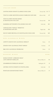# ITALIAN REDS

| CANTINA ISODI CHIANTI CLASSICO DOCG 2018                              | Tuscany, Italy 16 / 77 |         |
|-----------------------------------------------------------------------|------------------------|---------|
| TENUTA ULISSE MONTEPULCIANO D'ABRUZZO DOP 2019                        | Abruzzo, Italy         | 67      |
| TENUTA CORTE PAVONE ROSSO<br>DI MONTALCINO DOC 2017                   | Tuscany, Italy         | 99      |
| MASSERIA SETTEPORTE ETNA ROSSO DOC 2017                               | Sicily, Italy          | 105     |
| VARVAGLIONE "PAPALE" PRIMITIVO<br>DI MANDURIA DOP 2017                | Puglia, Italy          | 138     |
| SILVIO NARDI BRUNELLO DI MONTALCINO DOCG 2016                         | Tuscany, Italy         | 249     |
| NON ALCOHOLIC WINES                                                   |                        |         |
| LEPETIT CHAVIN NON-ALCOHOLIC MERLOT                                   | France                 | 25      |
| ZENZEN NON-ALCOHOLIC PINOT GRIGIO                                     | Germany                | 25      |
| <b>B&amp;G NON-ALCOHOLIC SPARKLING</b>                                | France                 | 25      |
| DESSERT WINES                                                         |                        | 6 0 M L |
| <b>SCHILD ESTATE 'LORRAINE SHILD'</b><br><b>LATE HARVEST SEMILLON</b> | Barossa Valley, SA     | 10      |
| CHAMBERS RUTHERGLEN MUSCAT                                            | Rutherglen, VIC        | 11      |

ASTORIA VENTUS PASSITO DI PANTELLERIA *Sicily, Italy* 13

PENFOLDS GRANDFATHER TAWNY *Barossa Valley, SA* 17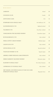WHISKEY JAMESON *Ireland* 10 CANADIAN CLUB *Canada* 10 GENTLEMAN JACK **USA** 12 STARWARD NOVA SINGLE MALT *Port Melbourne, VIC* 12 GLENMORANGIE 10 YR *Highland,Scotland* 13 TALISKER 10 YR *Isle of Skye, Scotland* 13 YAMAZAKURA FINE BLENDED WHISKY *Sasanokawa, Japan* 14 BUNNAHABHAIN 12 YR *Islay, Scotland* 16 NIKKA COFFEY GRAIN WHISKY *Hokkaido, Japan* 18 LAGAVULIN 16 YR *Islay, Scotland* 19 CHIVAS REGAL 18 YR *Speyside,Scotland* 21 TOGOUCHI WHISKY 15 YR *Togouchi, Japan* 29 ARDBEG CORRYVRECKAN CASK STRENGTH *Islay, Scotland* 32 HIBIKI HARMONY BLENDED WHISKY *Shimamoto, Japan* 35 McHENRY 'S SINGLE MALT *Port Arthur, Tasmania* 41 LAPHROAIG 25 YR SINGLE MALT *Islay, Scotland* 42 1997 MICHEL COUVREUR ALBA 22 YEAR OLD CASK

STRENGTH SINGLE MALT *Burgundy, France* 63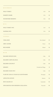| <b>BOURBON</b>                      |                     |    |
|-------------------------------------|---------------------|----|
| <b>WILD TURKEY</b>                  | <b>USA</b>          | 10 |
| <b>MAKER'S MARK</b>                 | <b>USA</b>          | 14 |
| <b>WOODFORD RESERVE</b>             | <b>USA</b>          | 16 |
| R Y E                               |                     |    |
| <b>WILD TURKEY RYE</b>              | <b>USA</b>          | 12 |
| <b>SAZERAC RYE</b>                  | <b>USA</b>          | 16 |
| <b>VODKA</b>                        |                     |    |
| <b>VDKA 6100</b>                    | New Zealand         | 13 |
| <b>GREY GOOSE</b>                   | France              | 14 |
| <b>BELVADERE</b>                    | Poland              | 14 |
| R U M                               |                     |    |
| <b>BACARDI SPICED RUM</b>           | Cuba                | 10 |
| <b>BACARDI CARTA BLANCA</b>         | Cuba                | 10 |
| <b>BACARDI COCONUT</b>              | Cuba                | 10 |
| <b>KRAKEN</b>                       | Trinidad and Tobago | 11 |
| <b>BACARDI OCHO 8YO</b>             | Cuba                | 12 |
| FLOR DE CANA 12 YEAR OLD CENTENARIO | Nicaragua           | 14 |
| <b>APPLETON ESTATE</b>              | Jamaica             | 14 |
| <b>RON ZACAPA 23</b>                | Guatemala           | 16 |
| DIPLOMATICO RUM RESERVA EXCLUSIVA   | Venezuela           | 16 |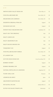# GIN

| SMITH'S EDEN VALLEY ROCK GIN   | Eden Valley, SA       | 12 |
|--------------------------------|-----------------------|----|
| <b>FOUR PILLARS RARE DRY</b>   | Yarra Valley, VIC     | 12 |
| MELBOURNE GIN COMPANY          | Yarra Valley, VIC     | 12 |
| EDGERTON ORIGINAL PINK GIN     | England               | 12 |
| <b>HAYMANS SLOE GIN</b>        | England               | 12 |
| PATIENT WOLF MELBOURNE DRY     | Southbank, VIC        | 12 |
| MALFY GIN 'THE ORIGINAL'       | Italy                 | 13 |
| <b>MALFY LEMON GIN</b>         | Italy                 | 13 |
| <b>MALFY GRAPEFRUIT GIN</b>    | Italy                 | 13 |
| MALFY BLOOD ORANGE GIN         | Italy                 | 13 |
| TANQUERAY N.10                 | England               | 13 |
| FOUR PILLARS BLOODY SHIRAZ     | Yarra Valley, VIC     | 13 |
| <b>ST LAURENT GIN</b>          | Canada                | 13 |
| GUVVOS OCEAN ROAD GIN          | Great Ocean Road, VIC | 13 |
| <b>BOMBAY SUNSET</b>           | England               | 13 |
| <b>BOMBAY BRAMBLE GIN</b>      | England               | 13 |
| NATURAL DISTILLING CO LIMONENE | Gippsland, VIC        | 13 |
| 7K DRY CHILLI GIN              | Tasmania              | 13 |
| <b>JODHPUR GIN SPICY</b>       | Spain                 | 13 |
| <b>ABLEFORTH'S BATHTUB GIN</b> | England               | 13 |
| POT & STILL FIG GIN            | Adelaide Hills, SA    | 13 |
| DUTCH VOC BLACK TOMATO GIN     | Netherlands           | 13 |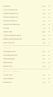| <b>HENDRICKS</b>                  | Scotland | 13     |
|-----------------------------------|----------|--------|
| <b>G' VINE FLORAISIAN GIN</b>     | France   | $13\,$ |
| <b>GENEROUS ORIGINAL GIN</b>      | France   | 14     |
| <b>GENEROUS ORGANIC GIN</b>       | France   | $14\,$ |
| <b>GENEROUS PURPLE GIN</b>        | France   | 14     |
| <b>AUDEMUS PINK PEPPER GIN</b>    | France   | $14\,$ |
| <b>GIN MARE</b>                   | Spain    | $14\,$ |
| <b>GARDEN TIGER</b>               | England  | $15\,$ |
| LE GIN DE CHRISTIAN DROUIN        | France   | $15\,$ |
| <b>BOMBAY SAPHIRE PREMIER CRU</b> | England  | $15\,$ |
| NIKKA COFFEE GIN                  | Japan    | $15\,$ |

# TEQUILA

| CAZADORES BLANCO     | Mexico | 10 |
|----------------------|--------|----|
| CAZADORES REPOSADO   | Mexico | 10 |
| PATRON REPOSADO      | Mexico | 14 |
| <b>PATRON SILVER</b> | Mexico | 14 |
| PATRON ANEJO         | Mexico | 17 |

# BRANDY / COGNAC

| <b>ST. REMY VSOP</b> | France | 10 |
|----------------------|--------|----|
| <b>GRAND MARNIER</b> | France | 10 |
| <b>HENNESSY XO</b>   | France | 35 |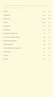LIQUEURS & DIGESTIVES

| <b>BAILEYS</b>                | <b>Ireland</b> | 10     |
|-------------------------------|----------------|--------|
| CHAMBORD                      | France         | $10\,$ |
| PIMM'S N.01                   | England        | $10\,$ |
| <b>KAHLUA</b>                 | Mexico         | $10\,$ |
| COINTREAU                     | France         | 10     |
| FRANGELICO                    | Italy          | $10\,$ |
| DISARONNO AMARETTO            | Italy          | 11     |
| <b>GALLIANO SAMBUCA WHITE</b> | Italy          | 10     |
| AMARO MONTENEGRO              | Italy          | 11     |
| <b>AMARO AVERNA</b>           | Italy          | $10\,$ |
| CYNAR ARTICHOKES LIQUEUR      | Italy          | $10\,$ |
| LIMONCELLO                    | Italy          | $\,9$  |
| <b>OUZO 12</b>                | Greece         | $10\,$ |
| <b>GRAPPA</b>                 | Italy          | $12\,$ |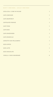SOFT DRINKS, COLD DRINKS

| COCA COLA / COKE NO SUGAR | $\overline{5}$ |
|---------------------------|----------------|
| <b>CAPI LEMONADE</b>      | $\overline{5}$ |
| <b>CAPI GRAPEFRUIT</b>    | $\mathbf 5$    |
| CAPI BLOOD ORANGE         | $\mathbf 5$    |
| <b>CAPI TONIC</b>         | $\mathbf 5$    |
| <b>CAPI SODA</b>          | $\overline{5}$ |
| <b>CAPI GINGER BEER</b>   | $\overline{5}$ |
| <b>CAPI GINGER ALE</b>    | $\overline{5}$ |
| CHINOTTO SAN PELLEGRINO   | $\sqrt{5}$     |
| <b>ICED COFFEE</b>        | $\overline{7}$ |
| <b>ICED LATTE</b>         | $\mathbf 5$    |
| <b>ICED CHOCOLATE</b>     | $\sqrt{ }$     |
| VANILLA / CHOC MILKSHAKE  | 8              |